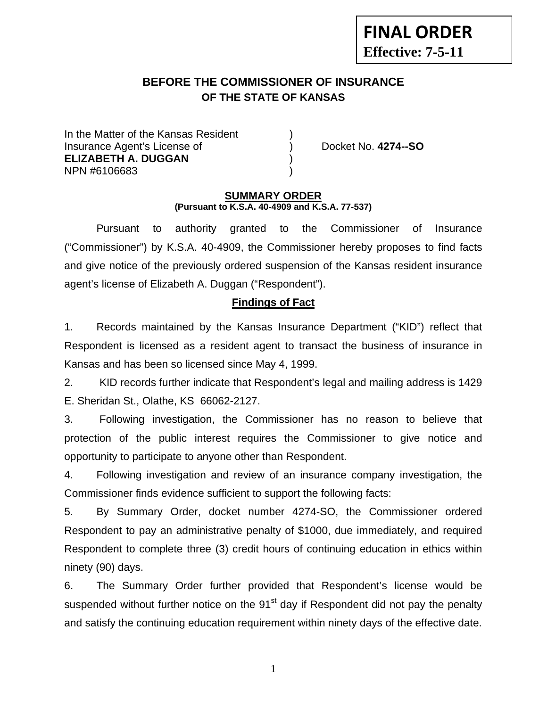# **BEFORE THE COMMISSIONER OF INSURANCE OF THE STATE OF KANSAS**

In the Matter of the Kansas Resident Insurance Agent's License of ) Docket No. **4274--SO ELIZABETH A. DUGGAN** ) NPN #6106683 )

**FINAL ORDER**

**Effective: 7-5-11** 

#### **SUMMARY ORDER (Pursuant to K.S.A. 40-4909 and K.S.A. 77-537)**

 Pursuant to authority granted to the Commissioner of Insurance ("Commissioner") by K.S.A. 40-4909, the Commissioner hereby proposes to find facts and give notice of the previously ordered suspension of the Kansas resident insurance agent's license of Elizabeth A. Duggan ("Respondent").

#### **Findings of Fact**

1. Records maintained by the Kansas Insurance Department ("KID") reflect that Respondent is licensed as a resident agent to transact the business of insurance in Kansas and has been so licensed since May 4, 1999.

2. KID records further indicate that Respondent's legal and mailing address is 1429 E. Sheridan St., Olathe, KS 66062-2127.

3. Following investigation, the Commissioner has no reason to believe that protection of the public interest requires the Commissioner to give notice and opportunity to participate to anyone other than Respondent.

4. Following investigation and review of an insurance company investigation, the Commissioner finds evidence sufficient to support the following facts:

5. By Summary Order, docket number 4274-SO, the Commissioner ordered Respondent to pay an administrative penalty of \$1000, due immediately, and required Respondent to complete three (3) credit hours of continuing education in ethics within ninety (90) days.

6. The Summary Order further provided that Respondent's license would be suspended without further notice on the 91<sup>st</sup> day if Respondent did not pay the penalty and satisfy the continuing education requirement within ninety days of the effective date.

1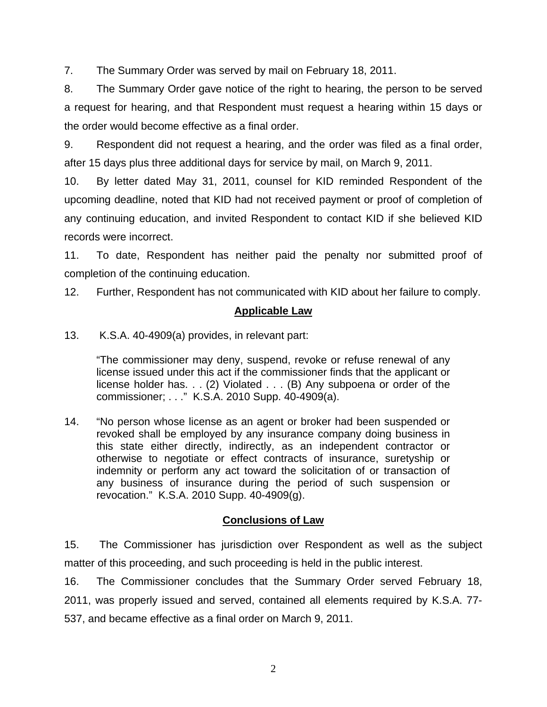7. The Summary Order was served by mail on February 18, 2011.

8. The Summary Order gave notice of the right to hearing, the person to be served a request for hearing, and that Respondent must request a hearing within 15 days or the order would become effective as a final order.

9. Respondent did not request a hearing, and the order was filed as a final order, after 15 days plus three additional days for service by mail, on March 9, 2011.

10. By letter dated May 31, 2011, counsel for KID reminded Respondent of the upcoming deadline, noted that KID had not received payment or proof of completion of any continuing education, and invited Respondent to contact KID if she believed KID records were incorrect.

11. To date, Respondent has neither paid the penalty nor submitted proof of completion of the continuing education.

12. Further, Respondent has not communicated with KID about her failure to comply.

# **Applicable Law**

13. K.S.A. 40-4909(a) provides, in relevant part:

"The commissioner may deny, suspend, revoke or refuse renewal of any license issued under this act if the commissioner finds that the applicant or license holder has. . . (2) Violated . . . (B) Any subpoena or order of the commissioner; . . ." K.S.A. 2010 Supp. 40-4909(a).

14. "No person whose license as an agent or broker had been suspended or revoked shall be employed by any insurance company doing business in this state either directly, indirectly, as an independent contractor or otherwise to negotiate or effect contracts of insurance, suretyship or indemnity or perform any act toward the solicitation of or transaction of any business of insurance during the period of such suspension or revocation." K.S.A. 2010 Supp. 40-4909(g).

# **Conclusions of Law**

15. The Commissioner has jurisdiction over Respondent as well as the subject matter of this proceeding, and such proceeding is held in the public interest.

16. The Commissioner concludes that the Summary Order served February 18, 2011, was properly issued and served, contained all elements required by K.S.A. 77- 537, and became effective as a final order on March 9, 2011.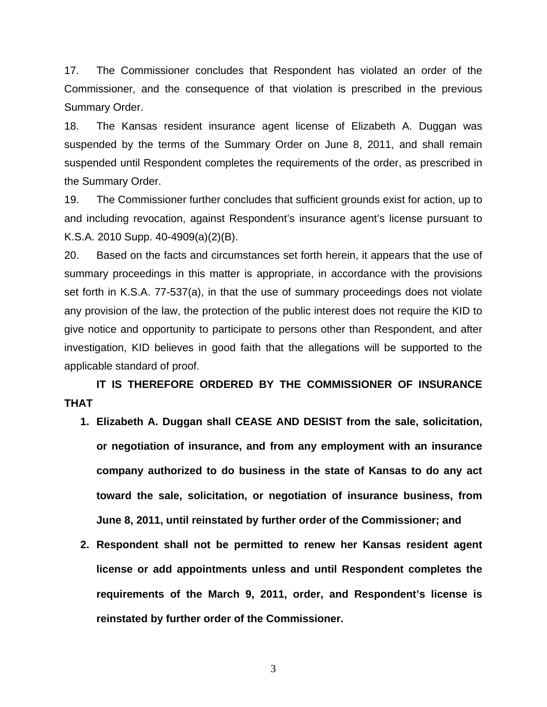17. The Commissioner concludes that Respondent has violated an order of the Commissioner, and the consequence of that violation is prescribed in the previous Summary Order.

18. The Kansas resident insurance agent license of Elizabeth A. Duggan was suspended by the terms of the Summary Order on June 8, 2011, and shall remain suspended until Respondent completes the requirements of the order, as prescribed in the Summary Order.

19. The Commissioner further concludes that sufficient grounds exist for action, up to and including revocation, against Respondent's insurance agent's license pursuant to K.S.A. 2010 Supp. 40-4909(a)(2)(B).

20. Based on the facts and circumstances set forth herein, it appears that the use of summary proceedings in this matter is appropriate, in accordance with the provisions set forth in K.S.A. 77-537(a), in that the use of summary proceedings does not violate any provision of the law, the protection of the public interest does not require the KID to give notice and opportunity to participate to persons other than Respondent, and after investigation, KID believes in good faith that the allegations will be supported to the applicable standard of proof.

 **IT IS THEREFORE ORDERED BY THE COMMISSIONER OF INSURANCE THAT** 

- **1. Elizabeth A. Duggan shall CEASE AND DESIST from the sale, solicitation, or negotiation of insurance, and from any employment with an insurance company authorized to do business in the state of Kansas to do any act toward the sale, solicitation, or negotiation of insurance business, from June 8, 2011, until reinstated by further order of the Commissioner; and**
- **2. Respondent shall not be permitted to renew her Kansas resident agent license or add appointments unless and until Respondent completes the requirements of the March 9, 2011, order, and Respondent's license is reinstated by further order of the Commissioner.**

3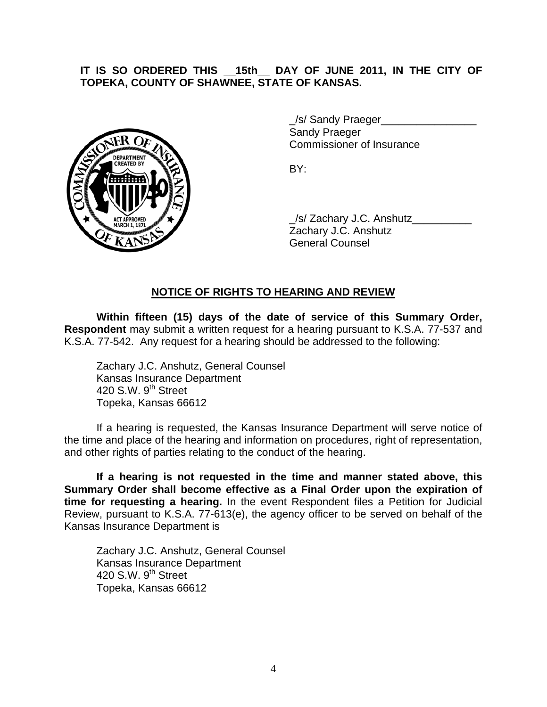## **IT IS SO ORDERED THIS \_\_15th\_\_ DAY OF JUNE 2011, IN THE CITY OF TOPEKA, COUNTY OF SHAWNEE, STATE OF KANSAS.**



/s/ Sandy Praeger Sandy Praeger Commissioner of Insurance

 \_/s/ Zachary J.C. Anshutz\_\_\_\_\_\_\_\_\_\_ Zachary J.C. Anshutz General Counsel

# **NOTICE OF RIGHTS TO HEARING AND REVIEW**

**Within fifteen (15) days of the date of service of this Summary Order, Respondent** may submit a written request for a hearing pursuant to K.S.A. 77-537 and K.S.A. 77-542. Any request for a hearing should be addressed to the following:

 Zachary J.C. Anshutz, General Counsel Kansas Insurance Department 420 S.W.  $9<sup>th</sup>$  Street Topeka, Kansas 66612

If a hearing is requested, the Kansas Insurance Department will serve notice of the time and place of the hearing and information on procedures, right of representation, and other rights of parties relating to the conduct of the hearing.

**If a hearing is not requested in the time and manner stated above, this Summary Order shall become effective as a Final Order upon the expiration of time for requesting a hearing.** In the event Respondent files a Petition for Judicial Review, pursuant to K.S.A. 77-613(e), the agency officer to be served on behalf of the Kansas Insurance Department is

 Zachary J.C. Anshutz, General Counsel Kansas Insurance Department 420 S.W. 9<sup>th</sup> Street Topeka, Kansas 66612